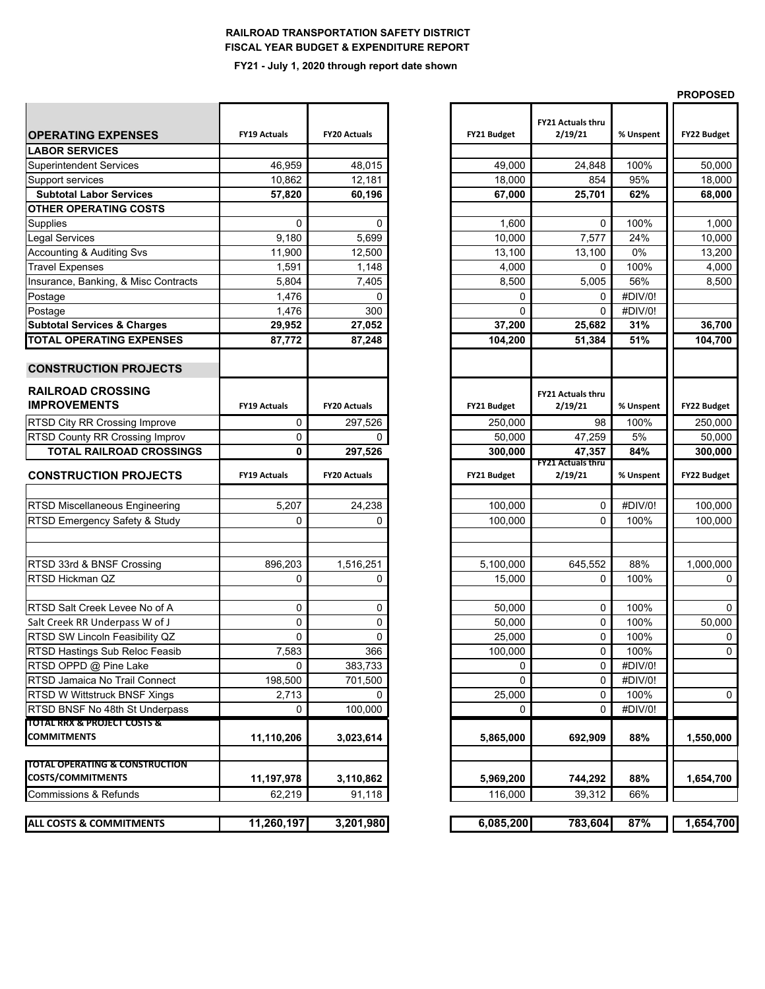## **RAILROAD TRANSPORTATION SAFETY DISTRICT FISCAL YEAR BUDGET & EXPENDITURE REPORT**

## **FY21 - July 1, 2020 through report date shown**

| <b>OPERATING EXPENSES</b>                       | <b>FY19 Actuals</b> | <b>FY20 Actuals</b> | FY21 Budget  | <b>FY21 Actuals thru</b><br>2/19/21 | % Unspent | FY22 Budget        |
|-------------------------------------------------|---------------------|---------------------|--------------|-------------------------------------|-----------|--------------------|
| <b>LABOR SERVICES</b>                           |                     |                     |              |                                     |           |                    |
| <b>Superintendent Services</b>                  | 46,959              | 48,015              | 49,000       | 24,848                              | 100%      | 50,000             |
| Support services                                | 10,862              | 12,181              | 18,000       | 854                                 | 95%       | 18,000             |
| <b>Subtotal Labor Services</b>                  | 57,820              | 60,196              | 67,000       | 25,701                              | 62%       | 68,000             |
| <b>OTHER OPERATING COSTS</b>                    |                     |                     |              |                                     |           |                    |
| Supplies                                        | 0                   | 0                   | 1,600        | $\Omega$                            | 100%      | 1,000              |
| <b>Legal Services</b>                           | 9,180               | 5,699               | 10,000       | 7,577                               | 24%       | 10,000             |
| <b>Accounting &amp; Auditing Svs</b>            | 11,900              | 12,500              | 13,100       | 13,100                              | 0%        | 13,200             |
| <b>Travel Expenses</b>                          | 1,591               | 1,148               | 4,000        | 0                                   | 100%      | 4,000              |
| Insurance, Banking, & Misc Contracts            | 5,804               | 7,405               | 8,500        | 5,005                               | 56%       | 8,500              |
| Postage                                         | 1,476               | 0                   | 0            | 0                                   | #DIV/0!   |                    |
| Postage                                         | 1,476               | 300                 | $\Omega$     | 0                                   | #DIV/0!   |                    |
| <b>Subtotal Services &amp; Charges</b>          | 29,952              | 27,052              | 37,200       | 25,682                              | 31%       | 36,700             |
| <b>TOTAL OPERATING EXPENSES</b>                 | 87,772              | 87,248              | 104,200      | 51,384                              | 51%       | 104,700            |
| <b>CONSTRUCTION PROJECTS</b>                    |                     |                     |              |                                     |           |                    |
| <b>RAILROAD CROSSING</b><br><b>IMPROVEMENTS</b> | <b>FY19 Actuals</b> | <b>FY20 Actuals</b> | FY21 Budget  | <b>FY21 Actuals thru</b><br>2/19/21 | % Unspent | FY22 Budget        |
| <b>RTSD City RR Crossing Improve</b>            | 0                   | 297,526             | 250,000      | 98                                  | 100%      | 250,000            |
| RTSD County RR Crossing Improv                  | 0                   | 0                   | 50,000       | 47,259                              | 5%        | 50,000             |
| <b>TOTAL RAILROAD CROSSINGS</b>                 | 0                   | 297,526             | 300,000      | 47,357                              | 84%       | 300,000            |
| <b>CONSTRUCTION PROJECTS</b>                    | <b>FY19 Actuals</b> | <b>FY20 Actuals</b> | FY21 Budget  | <b>FY21 Actuals thru</b><br>2/19/21 | % Unspent | <b>FY22 Budget</b> |
|                                                 |                     |                     |              |                                     |           |                    |
| <b>RTSD Miscellaneous Engineering</b>           | 5,207               | 24,238              | 100,000      | 0                                   | #DIV/0!   | 100,000            |
| RTSD Emergency Safety & Study                   | 0                   | 0                   | 100,000      | $\Omega$                            | 100%      | 100,000            |
|                                                 |                     |                     |              |                                     |           |                    |
| RTSD 33rd & BNSF Crossing                       | 896,203             | 1,516,251           | 5,100,000    | 645,552                             | 88%       | 1,000,000          |
| RTSD Hickman QZ                                 | 0                   | 0                   | 15,000       | 0                                   | 100%      | $\mathbf 0$        |
|                                                 |                     |                     |              |                                     |           |                    |
| RTSD Salt Creek Levee No of A                   | 0                   | 0                   | 50,000       | 0                                   | 100%      | $\mathbf 0$        |
| Salt Creek RR Underpass W of J                  | 0                   | 0                   | 50,000       | 0                                   | 100%      | 50,000             |
| RTSD SW Lincoln Feasibility QZ                  | 0                   | 0                   | 25,000       | 0                                   | 100%      | 0                  |
| <b>RTSD Hastings Sub Reloc Feasib</b>           | 7,583               | 366                 | 100,000      | 0                                   | 100%      | $\pmb{0}$          |
| RTSD OPPD @ Pine Lake                           | 0                   | 383,733             | 0            | 0                                   | #DIV/0!   |                    |
| RTSD Jamaica No Trail Connect                   | 198,500             | 701,500             | $\mathbf{0}$ | 0                                   | #DIV/0!   |                    |
| RTSD W Wittstruck BNSF Xings                    | 2,713               | 0                   | 25,000       | 0                                   | 100%      | 0                  |
| RTSD BNSF No 48th St Underpass                  | 0                   | 100,000             | 0            | 0                                   | #DIV/0!   |                    |
| <b>TOTAL RRX &amp; PROJECT COSTS &amp;</b>      |                     |                     |              |                                     |           |                    |
| <b>COMMITMENTS</b>                              | 11,110,206          | 3,023,614           | 5,865,000    | 692,909                             | 88%       | 1,550,000          |
| <b>TOTAL OPERATING &amp; CONSTRUCTION</b>       |                     |                     |              |                                     |           |                    |
| <b>COSTS/COMMITMENTS</b>                        | 11,197,978          | 3,110,862           | 5,969,200    | 744,292                             | 88%       | 1,654,700          |
| <b>Commissions &amp; Refunds</b>                | 62,219              | 91,118              | 116,000      | 39,312                              | 66%       |                    |
| <b>ALL COSTS &amp; COMMITMENTS</b>              | 11,260,197          | 3,201,980           | 6,085,200    | 783,604                             | 87%       | 1,654,700          |
|                                                 |                     |                     |              |                                     |           |                    |

|             |                                     |           | <b>PROPOSED</b>    |  |  |
|-------------|-------------------------------------|-----------|--------------------|--|--|
| FY21 Budget | <b>FY21 Actuals thru</b><br>2/19/21 | % Unspent | <b>FY22 Budget</b> |  |  |
|             |                                     | 100%      |                    |  |  |
| 49,000      | 24,848                              |           | 50,000             |  |  |
| 18,000      | 854                                 | 95%       | 18,000             |  |  |
| 67,000      | 25,701                              | 62%       | 68,000             |  |  |
| 1,600       | 0                                   | 100%      | 1,000              |  |  |
| 10,000      | 7,577                               | 24%       | 10,000             |  |  |
| 13,100      | 13,100                              | 0%        | 13,200             |  |  |
| 4,000       | 0                                   | 100%      | 4,000              |  |  |
| 8,500       | 5,005                               | 56%       | 8,500              |  |  |
| 0           | 0                                   | #DIV/0!   |                    |  |  |
| 0           | 0                                   | #DIV/0!   |                    |  |  |
| 37,200      | 25,682                              | 31%       | 36,700             |  |  |
| 104,200     | 51,384                              | 51%       | 104,700            |  |  |
|             |                                     |           |                    |  |  |
| FY21 Budget | <b>FY21 Actuals thru</b><br>2/19/21 | % Unspent | FY22 Budget        |  |  |
| 250,000     | 98                                  | 100%      | 250,000            |  |  |
| 50,000      | 47,259                              | 5%        | 50,000             |  |  |
| 300,000     | 47,357                              | 84%       | 300,000            |  |  |
|             | FY21 Actuals thru                   |           |                    |  |  |
|             |                                     |           |                    |  |  |
| FY21 Budget | 2/19/21                             | % Unspent | FY22 Budget        |  |  |
|             |                                     |           |                    |  |  |
| 100,000     | 0                                   | #DIV/0!   | 100,000            |  |  |
| 100,000     | 0                                   | 100%      | 100,000            |  |  |
|             |                                     |           |                    |  |  |
|             |                                     |           |                    |  |  |
| 5,100,000   | 645,552                             | 88%       | 1,000,000          |  |  |
| 15,000      | 0                                   | 100%      | 0                  |  |  |
| 50,000      | 0                                   | 100%      | 0                  |  |  |
| 50,000      | 0                                   | 100%      | 50,000             |  |  |
| 25,000      | 0                                   | 100%      | 0                  |  |  |
| 100,000     | 0                                   | 100%      | 0                  |  |  |
| 0           | 0                                   | #DIV/0!   |                    |  |  |
| 0           | 0                                   | #DIV/0!   |                    |  |  |
| 25,000      | 0                                   | 100%      | 0                  |  |  |
| 0           | 0                                   | #DIV/0!   |                    |  |  |
| 5,865,000   | 692,909                             | 88%       | 1,550,000          |  |  |
| 5,969,200   | 744,292                             | 88%       | 1,654,700          |  |  |
| 116,000     | 39,312                              | 66%       |                    |  |  |